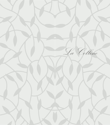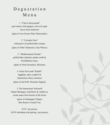# D e g u s t a t i o n M e n u

1. "Cherve Bouyiourdi" goat cheese, bell peppers, olives & caper leaves from Santorini (glass of rose Nostos Pink, Manousakis)

2. "Cycladic Orzo" wild green's & grilled baby octopus (glass of white Thalassitis, Gaia Winery)

3. "Mediterranean Dorado" grilled baby calamari, potato confit & bouillabaisse sauce (glass of white Savatiano, Mylonas)

4. Grass Fed Lamb "Kebab" Eggplant, spicy yoghurt & Santorinian cherry tomatoes (glass of red M.M. Domaine Sigalas)

5. The Santorinian Volcano® Italian Meringue, strawberry & vanilla ice cream sauce from berries of the forest (glass of champagne Chapuy Brut Reserve Grand Cru)

€135 / per person  $(6195)$  including wine pairing / per person)

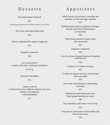### D e s s e r t s

The Santorinian Volcano®

€26

® Trade mark registration № 017917884 by EUIPO on 19/10/2018.

The iconic chocolate black pearl

€18

Jerome's grandmother recipe of apple pie

€18

Raspberry sensation

€20

Ice cream portion (vanilla, chocolate, strawberry, pistachio)

€7/ 45 g

Seasonal fruit platter

#### €15

Cheese cold cut (variation from four different cheeses and meat options, accompanied with marmalade)

€31

## A p p e t i z e r s

Salad Niçoise, green beans, cucumber and artichoke served with eggs «parfait» €25

Mediterranean seafood variation of octopus, mussels and broccoli Romanesco on cucumber

€20

Santorinian tomatoes variety salad with mozzarella

€23

Gaspacho Andalouse €20

«La vie en rose» Summer beetroot Gaspacho beetroot rose

€20

Carpaccio of Atlantic shrimps €23

Ceviche of Aegean sea bass, seaweed and citrus marinade

€29

The Greek crudo dorado in Santorinian marinade

€22

Smoked eel with Santorinian fava, black grapes and apricot cream

#### €40

Tuna brandade, aioli sauce, royal caviar

#### €24

Foie gras on sweet potato crème brûlée and forest fruits sauce

€36